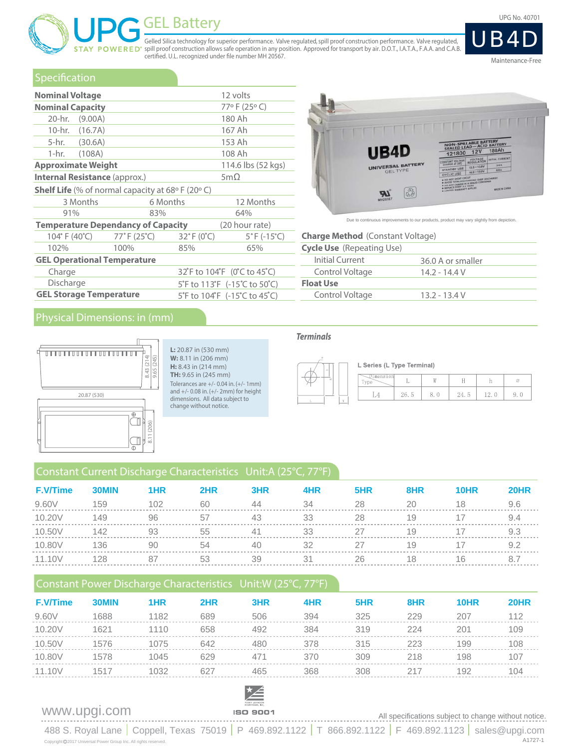# GEL Battery UPG No. 40701

Gelled Silica technology for superior performance. Valve regulated, spill proof construction performance. Valve regulated, ERED<sup>®</sup> spill proof construction allows safe operation in any position. Approved for transport by air. D.O.T., I.A.T.A., F.A.A. and C.A.B. certified. U.L. recognized under file number MH 20567.



### Specification

|                                                                        | 12 volts<br><b>Nominal Voltage</b>        |                                 |                                  |  |  |  |  |  |  |  |
|------------------------------------------------------------------------|-------------------------------------------|---------------------------------|----------------------------------|--|--|--|--|--|--|--|
| <b>Nominal Capacity</b>                                                |                                           |                                 | 77°F (25°C)                      |  |  |  |  |  |  |  |
| 20-hr. (9.00A)                                                         |                                           |                                 | 180 Ah                           |  |  |  |  |  |  |  |
| 10-hr. (16.7A)                                                         |                                           |                                 | 167 Ah                           |  |  |  |  |  |  |  |
| 5-hr. (30.6A)                                                          |                                           |                                 | 153 Ah                           |  |  |  |  |  |  |  |
| 1-hr. (108A)                                                           |                                           |                                 | 108 Ah                           |  |  |  |  |  |  |  |
| <b>Approximate Weight</b>                                              |                                           |                                 | 114.6 lbs (52 kgs)               |  |  |  |  |  |  |  |
| <b>Internal Resistance (approx.)</b>                                   |                                           |                                 | 5m $\Omega$                      |  |  |  |  |  |  |  |
| <b>Shelf Life</b> (% of normal capacity at 68 $\circ$ F (20 $\circ$ C) |                                           |                                 |                                  |  |  |  |  |  |  |  |
| 3 Months                                                               | 6 Months                                  |                                 | 12 Months                        |  |  |  |  |  |  |  |
| 91%                                                                    | 83%                                       |                                 | 64%                              |  |  |  |  |  |  |  |
|                                                                        | <b>Temperature Dependancy of Capacity</b> |                                 | (20 hour rate)                   |  |  |  |  |  |  |  |
| 104° F (40°C) 77° F (25°C)                                             |                                           | $32^{\circ}$ F (0 $^{\circ}$ C) | $5^{\circ}$ F (-15 $^{\circ}$ C) |  |  |  |  |  |  |  |
| 102%                                                                   | 100%                                      | 85%                             | 65%                              |  |  |  |  |  |  |  |
| <b>GEL Operational Temperature</b>                                     |                                           |                                 |                                  |  |  |  |  |  |  |  |
| Charge                                                                 |                                           |                                 | 32°F to 104°F (0°C to 45°C)      |  |  |  |  |  |  |  |
| Discharge                                                              |                                           |                                 | 5°F to 113°F (-15°C to 50°C)     |  |  |  |  |  |  |  |
| <b>GEL Storage Temperature</b>                                         |                                           |                                 | 5°F to 104°F (-15°C to 45°C)     |  |  |  |  |  |  |  |

### **TELEVITECTIVE** BATTERY<br>180Ah LE BATT 121800 12V B4D HERE WE AND HE WOLTAGE **RSAL BATTERY** STANDRY USE 14.8-15.0V  $\begin{bmatrix} 0 \\ 0 \\ 0 \end{bmatrix}$ W

Due to continuous improvements to our products, product may vary slightly from depiction

### **Charge Method** (Constant Voltage)

### **Cycle Use** (Repeating Use)

| Initial Current  | 36.0 A or smaller |
|------------------|-------------------|
| Control Voltage  | 14.2 - 14.4 V     |
| <b>Float Use</b> |                   |
| Control Voltage  | $13.2 - 13.4 V$   |
|                  |                   |

### Physical Dimensions: in (mm)



**L:** 20.87 in (530 mm) **W:** 8.11 in (206 mm) **H:** 8.43 in (214 mm) **TH:** 9.65 in (245 mm) Tolerances are +/- 0.04 in. (+/- 1mm) and +/- 0.08 in. (+/- 2mm) for height dimensions. All data subject to change without notice.

### **Terminals**



| z.       | L Series (L Type Terminal) |      |      |  |
|----------|----------------------------|------|------|--|
| $\equiv$ | mension                    |      |      |  |
|          |                            | 26.5 | 24.5 |  |

### Constant Current Discharge Characteristics Unit:A (25°C, 77°F)

| <b>F.V/Time</b> | 30MIN | 1HR | 2HR | 3HR | 4HR | 5HR | 8HR | <b>10HR</b> | <b>20HR</b> |
|-----------------|-------|-----|-----|-----|-----|-----|-----|-------------|-------------|
| 9.60V           | 159   | 102 | 60  | 44  | 34  | 28  | 20  | 18          | 9.6         |
| 10.20V          | 149   | 96  | 57  | 43  | 33  | 28  | 19  |             | 9.4         |
| 10.50V          | 142   | 93  | 55  | 41  | 33  | 27  | 19  |             | 9.3         |
| 10.80V          | 136   | 90  | 54  | 40  | 32  | 27  | 19  |             | 9.2         |
| 11.10V          | 128   | 87  | 53  | 39  | 31  | 26  | 18  | 16          |             |

## Constant Power Discharge Characteristics Unit:W (25°C, 77°F)

| <b>F.V/Time</b> | 30MIN | 1HR  | 2HR | 3HR | 4HR | 5HR | 8HR | 10HR | <b>20HR</b> |
|-----------------|-------|------|-----|-----|-----|-----|-----|------|-------------|
| 9.60V           | 1688  | 1182 | 689 | 506 | 394 | 325 | 229 | 207  | 112         |
| 10.20V          | 1621  | 1110 | 658 | 492 | 384 | 319 | 224 | 201  | 109         |
| 10.50V          | 1576  | 1075 | 642 | 480 | 378 | 315 | 223 | 199  | 108         |
| 10.80V          | 1578  | 1045 | 629 | 471 | 370 | 309 | 218 | 198  | 107         |
| 11.10V          | 1517  | 1032 | 627 | 465 | 368 | 308 | 217 | 192  | 104         |
|                 |       |      |     |     |     |     |     |      |             |



www.upgi.com **SO 9001**<br> **All specifications subject to change without notice.** 

488 S. Royal Lane | Coppell, Texas 75019 | P 469.892.1122 | T 866.892.1122 | F 469.892.1123 | sales@upgi.com A1727-1 Copyright 2017 Universal Power Group Inc. All rights reserved.